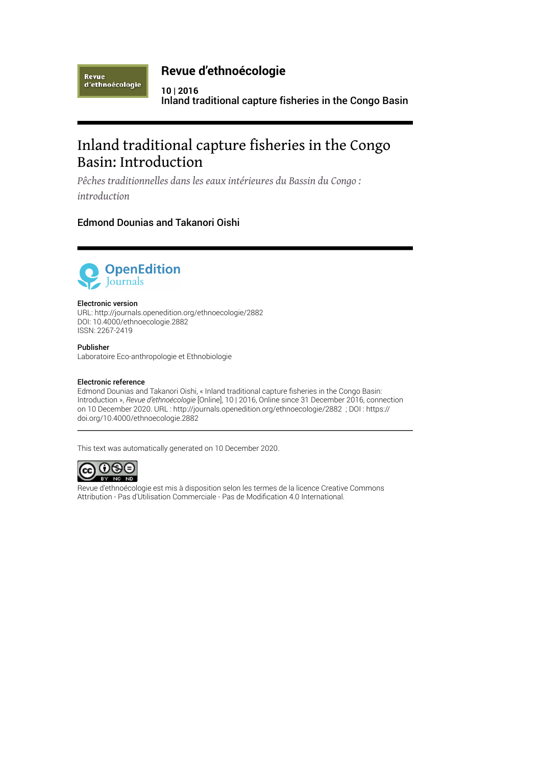Revue d'ethnoécologie

# **Revue d'ethnoécologie**

**10 | 2016** Inland traditional capture fisheries in the Congo Basin

# Inland traditional capture fisheries in the Congo Basin: Introduction

*Pêches traditionnelles dans les eaux intérieures du Bassin du Congo : introduction*

# Edmond Dounias and Takanori Oishi



### Electronic version

URL:<http://journals.openedition.org/ethnoecologie/2882> DOI: 10.4000/ethnoecologie.2882 ISSN: 2267-2419

### Publisher

Laboratoire Eco-anthropologie et Ethnobiologie

### Electronic reference

Edmond Dounias and Takanori Oishi, « Inland traditional capture fisheries in the Congo Basin: Introduction », *Revue d'ethnoécologie* [Online], 10 | 2016, Online since 31 December 2016, connection on 10 December 2020. URL : http://journals.openedition.org/ethnoecologie/2882 ; DOI : https:// doi.org/10.4000/ethnoecologie.2882

This text was automatically generated on 10 December 2020.



Revue d'ethnoécologie est mis à disposition selon les termes de la [licence Creative Commons](http://creativecommons.org/licenses/by-nc-nd/4.0/) [Attribution - Pas d'Utilisation Commerciale - Pas de Modi](http://creativecommons.org/licenses/by-nc-nd/4.0/)fication 4.0 International.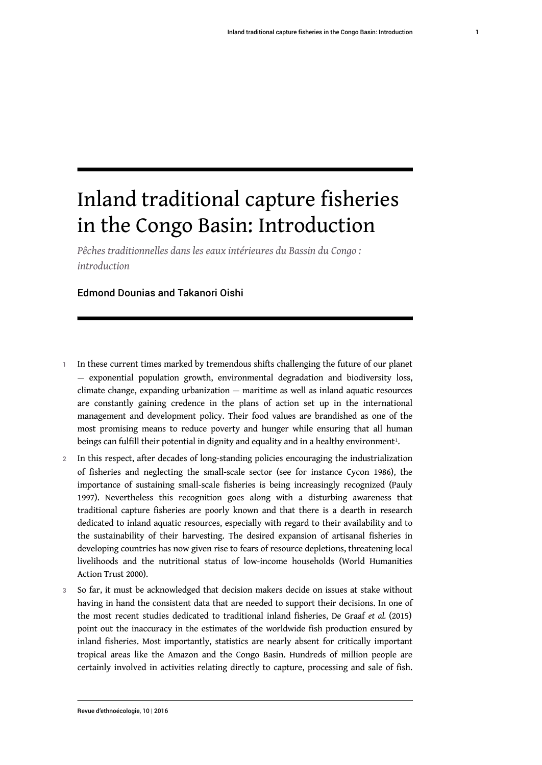# Inland traditional capture fisheries in the Congo Basin: Introduction

*Pêches traditionnelles dans les eaux intérieures du Bassin du Congo : introduction*

### Edmond Dounias and Takanori Oishi

- 1 In these current times marked by tremendous shifts challenging the future of our planet — exponential population growth, environmental degradation and biodiversity loss, climate change, expanding urbanization — maritime as well as inland aquatic resources are constantly gaining credence in the plans of action set up in the international management and development policy. Their food values are brandished as one of the most promising means to reduce poverty and hunger while ensuring that all human beings can fulfill their potential in dignity and equality and in a healthy environment $^{\rm 1}.$  $^{\rm 1}.$  $^{\rm 1}.$
- <span id="page-1-0"></span>2 In this respect, after decades of long-standing policies encouraging the industrialization of fisheries and neglecting the small-scale sector (see for instance Cycon 1986), the importance of sustaining small-scale fisheries is being increasingly recognized (Pauly 1997). Nevertheless this recognition goes along with a disturbing awareness that traditional capture fisheries are poorly known and that there is a dearth in research dedicated to inland aquatic resources, especially with regard to their availability and to the sustainability of their harvesting. The desired expansion of artisanal fisheries in developing countries has now given rise to fears of resource depletions, threatening local livelihoods and the nutritional status of low-income households (World Humanities Action Trust 2000).
- 3 So far, it must be acknowledged that decision makers decide on issues at stake without having in hand the consistent data that are needed to support their decisions. In one of the most recent studies dedicated to traditional inland fisheries, De Graaf *et al.* (2015) point out the inaccuracy in the estimates of the worldwide fish production ensured by inland fisheries. Most importantly, statistics are nearly absent for critically important tropical areas like the Amazon and the Congo Basin. Hundreds of million people are certainly involved in activities relating directly to capture, processing and sale of fish.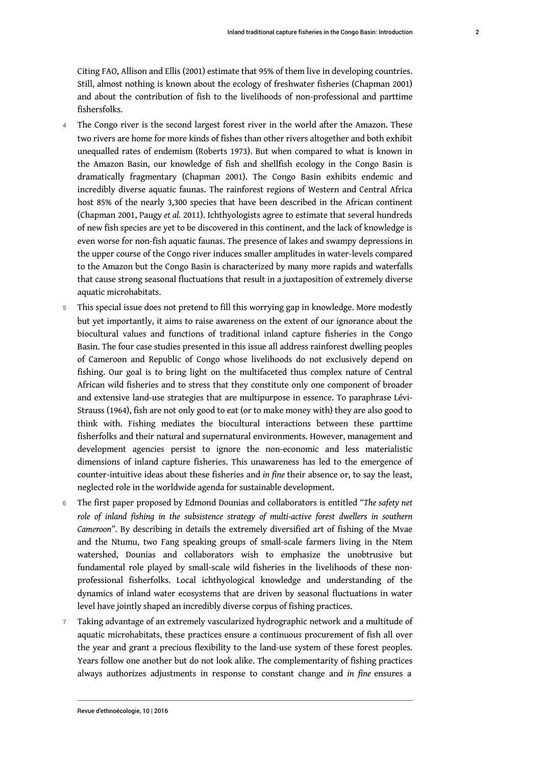Citing FAO, Allison and Ellis (2001) estimate that 95% of them live in developing countries. Still, almost nothing is known about the ecology of freshwater fisheries (Chapman 2001) and about the contribution of fish to the livelihoods of non-professional and parttime fishersfolks.

- The Congo river is the second largest forest river in the world after the Amazon. These two rivers are home for more kinds of fishes than other rivers altogether and both exhibit unequalled rates of endemism (Roberts 1973). But when compared to what is known in the Amazon Basin, our knowledge of fish and shellfish ecology in the Congo Basin is dramatically fragmentary (Chapman 2001). The Congo Basin exhibits endemic and incredibly diverse aquatic faunas. The rainforest regions of Western and Central Africa host 85% of the nearly 3,300 species that have been described in the African continent (Chapman 2001, Paugy *et al.* 2011). Ichthyologists agree to estimate that several hundreds of new fish species are yet to be discovered in this continent, and the lack of knowledge is even worse for non-fish aquatic faunas. The presence of lakes and swampy depressions in the upper course of the Congo river induces smaller amplitudes in water-levels compared to the Amazon but the Congo Basin is characterized by many more rapids and waterfalls that cause strong seasonal fluctuations that result in a juxtaposition of extremely diverse aquatic microhabitats.
- 5 This special issue does not pretend to fill this worrying gap in knowledge. More modestly but yet importantly, it aims to raise awareness on the extent of our ignorance about the biocultural values and functions of traditional inland capture fisheries in the Congo Basin. The four case studies presented in this issue all address rainforest dwelling peoples of Cameroon and Republic of Congo whose livelihoods do not exclusively depend on fishing. Our goal is to bring light on the multifaceted thus complex nature of Central African wild fisheries and to stress that they constitute only one component of broader and extensive land-use strategies that are multipurpose in essence. To paraphrase Lévi-Strauss (1964), fish are not only good to eat (or to make money with) they are also good to think with. Fishing mediates the biocultural interactions between these parttime fisherfolks and their natural and supernatural environments. However, management and development agencies persist to ignore the non-economic and less materialistic dimensions of inland capture fisheries. This unawareness has led to the emergence of counter-intuitive ideas about these fisheries and *in fine* their absence or, to say the least, neglected role in the worldwide agenda for sustainable development.
- <sup>6</sup>The first paper proposed by Edmond Dounias and collaborators is entitled *"The safety net role of inland fishing in the subsistence strategy of multi-active forest dwellers in southern Cameroon"*. By describing in details the extremely diversified art of fishing of the Mvae and the Ntumu, two Fang speaking groups of small-scale farmers living in the Ntem watershed, Dounias and collaborators wish to emphasize the unobtrusive but fundamental role played by small-scale wild fisheries in the livelihoods of these nonprofessional fisherfolks. Local ichthyological knowledge and understanding of the dynamics of inland water ecosystems that are driven by seasonal fluctuations in water level have jointly shaped an incredibly diverse corpus of fishing practices.
- 7 Taking advantage of an extremely vascularized hydrographic network and a multitude of aquatic microhabitats, these practices ensure a continuous procurement of fish all over the year and grant a precious flexibility to the land-use system of these forest peoples. Years follow one another but do not look alike. The complementarity of fishing practices always authorizes adjustments in response to constant change and *in fine* ensures a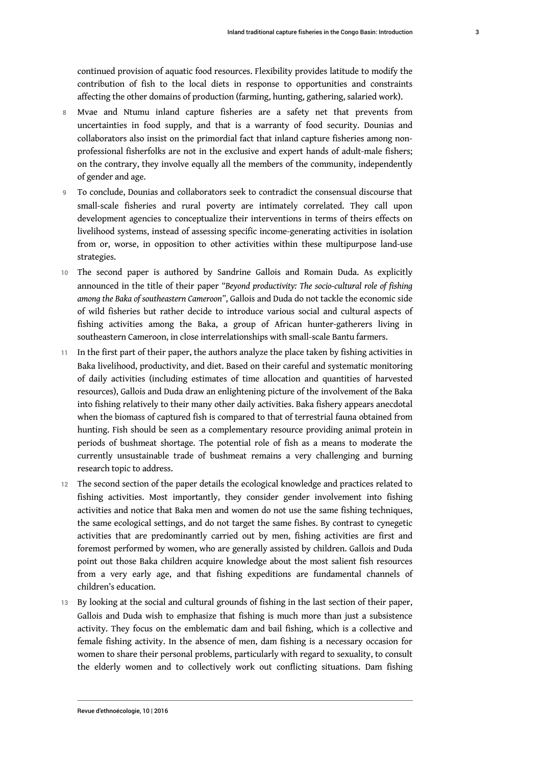continued provision of aquatic food resources. Flexibility provides latitude to modify the contribution of fish to the local diets in response to opportunities and constraints affecting the other domains of production (farming, hunting, gathering, salaried work).

- 8 Mvae and Ntumu inland capture fisheries are a safety net that prevents from uncertainties in food supply, and that is a warranty of food security. Dounias and collaborators also insist on the primordial fact that inland capture fisheries among nonprofessional fisherfolks are not in the exclusive and expert hands of adult-male fishers; on the contrary, they involve equally all the members of the community, independently of gender and age.
- 9 To conclude, Dounias and collaborators seek to contradict the consensual discourse that small-scale fisheries and rural poverty are intimately correlated. They call upon development agencies to conceptualize their interventions in terms of theirs effects on livelihood systems, instead of assessing specific income-generating activities in isolation from or, worse, in opposition to other activities within these multipurpose land-use strategies.
- 10 The second paper is authored by Sandrine Gallois and Romain Duda. As explicitly announced in the title of their paper *"Beyond productivity: The socio-cultural role of fishing among the Baka of southeastern Cameroon"*, Gallois and Duda do not tackle the economic side of wild fisheries but rather decide to introduce various social and cultural aspects of fishing activities among the Baka, a group of African hunter-gatherers living in southeastern Cameroon, in close interrelationships with small-scale Bantu farmers.
- 11 In the first part of their paper, the authors analyze the place taken by fishing activities in Baka livelihood, productivity, and diet. Based on their careful and systematic monitoring of daily activities (including estimates of time allocation and quantities of harvested resources), Gallois and Duda draw an enlightening picture of the involvement of the Baka into fishing relatively to their many other daily activities. Baka fishery appears anecdotal when the biomass of captured fish is compared to that of terrestrial fauna obtained from hunting. Fish should be seen as a complementary resource providing animal protein in periods of bushmeat shortage. The potential role of fish as a means to moderate the currently unsustainable trade of bushmeat remains a very challenging and burning research topic to address.
- 12 The second section of the paper details the ecological knowledge and practices related to fishing activities. Most importantly, they consider gender involvement into fishing activities and notice that Baka men and women do not use the same fishing techniques, the same ecological settings, and do not target the same fishes. By contrast to cynegetic activities that are predominantly carried out by men, fishing activities are first and foremost performed by women, who are generally assisted by children. Gallois and Duda point out those Baka children acquire knowledge about the most salient fish resources from a very early age, and that fishing expeditions are fundamental channels of children's education.
- 13 By looking at the social and cultural grounds of fishing in the last section of their paper, Gallois and Duda wish to emphasize that fishing is much more than just a subsistence activity. They focus on the emblematic dam and bail fishing, which is a collective and female fishing activity. In the absence of men, dam fishing is a necessary occasion for women to share their personal problems, particularly with regard to sexuality, to consult the elderly women and to collectively work out conflicting situations. Dam fishing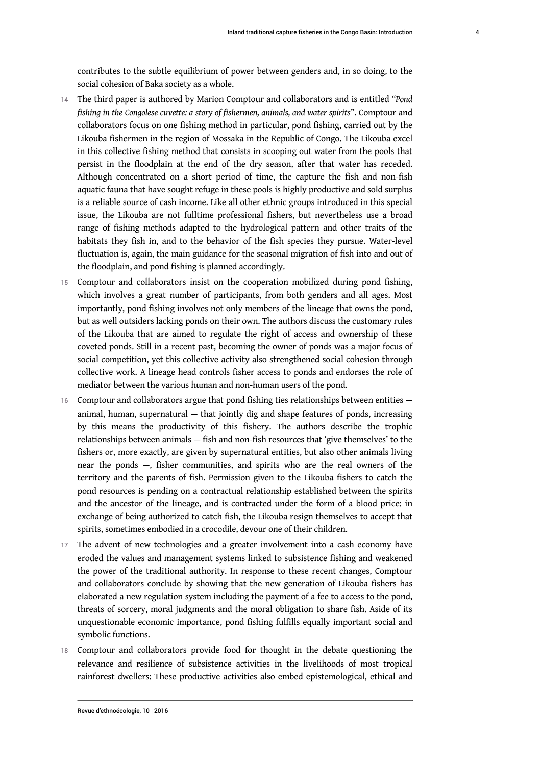contributes to the subtle equilibrium of power between genders and, in so doing, to the social cohesion of Baka society as a whole.

- <sup>14</sup>The third paper is authored by Marion Comptour and collaborators and is entitled *"Pond fishing in the Congolese cuvette: a story of fishermen, animals, and water spirits"*. Comptour and collaborators focus on one fishing method in particular, pond fishing, carried out by the Likouba fishermen in the region of Mossaka in the Republic of Congo. The Likouba excel in this collective fishing method that consists in scooping out water from the pools that persist in the floodplain at the end of the dry season, after that water has receded. Although concentrated on a short period of time, the capture the fish and non-fish aquatic fauna that have sought refuge in these pools is highly productive and sold surplus is a reliable source of cash income. Like all other ethnic groups introduced in this special issue, the Likouba are not fulltime professional fishers, but nevertheless use a broad range of fishing methods adapted to the hydrological pattern and other traits of the habitats they fish in, and to the behavior of the fish species they pursue. Water-level fluctuation is, again, the main guidance for the seasonal migration of fish into and out of the floodplain, and pond fishing is planned accordingly.
- 15 Comptour and collaborators insist on the cooperation mobilized during pond fishing, which involves a great number of participants, from both genders and all ages. Most importantly, pond fishing involves not only members of the lineage that owns the pond, but as well outsiders lacking ponds on their own. The authors discuss the customary rules of the Likouba that are aimed to regulate the right of access and ownership of these coveted ponds. Still in a recent past, becoming the owner of ponds was a major focus of social competition, yet this collective activity also strengthened social cohesion through collective work. A lineage head controls fisher access to ponds and endorses the role of mediator between the various human and non-human users of the pond.
- 16 Comptour and collaborators argue that pond fishing ties relationships between entities animal, human, supernatural — that jointly dig and shape features of ponds, increasing by this means the productivity of this fishery. The authors describe the trophic relationships between animals — fish and non-fish resources that 'give themselves' to the fishers or, more exactly, are given by supernatural entities, but also other animals living near the ponds —, fisher communities, and spirits who are the real owners of the territory and the parents of fish. Permission given to the Likouba fishers to catch the pond resources is pending on a contractual relationship established between the spirits and the ancestor of the lineage, and is contracted under the form of a blood price: in exchange of being authorized to catch fish, the Likouba resign themselves to accept that spirits, sometimes embodied in a crocodile, devour one of their children.
- 17 The advent of new technologies and a greater involvement into a cash economy have eroded the values and management systems linked to subsistence fishing and weakened the power of the traditional authority. In response to these recent changes, Comptour and collaborators conclude by showing that the new generation of Likouba fishers has elaborated a new regulation system including the payment of a fee to access to the pond, threats of sorcery, moral judgments and the moral obligation to share fish. Aside of its unquestionable economic importance, pond fishing fulfills equally important social and symbolic functions.
- 18 Comptour and collaborators provide food for thought in the debate questioning the relevance and resilience of subsistence activities in the livelihoods of most tropical rainforest dwellers: These productive activities also embed epistemological, ethical and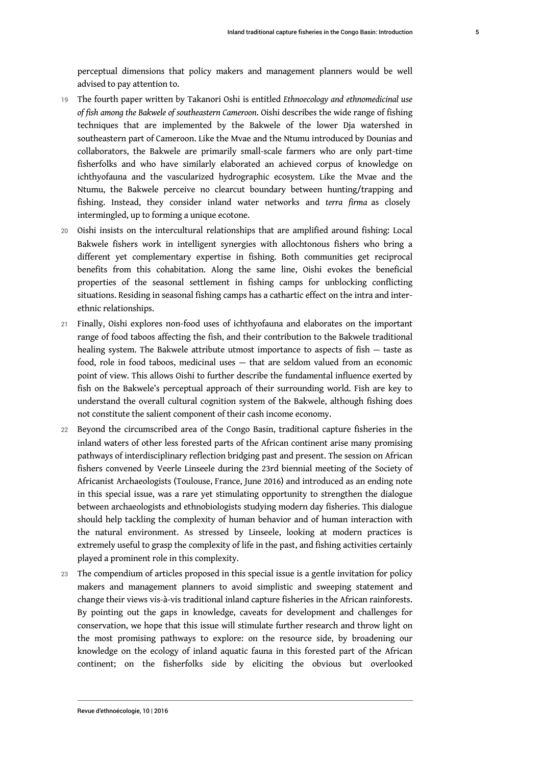perceptual dimensions that policy makers and management planners would be well advised to pay attention to.

- <sup>19</sup>The fourth paper written by Takanori Oshi is entitled *Ethnoecology and ethnomedicinal use of fish among the Bakwele of southeastern Cameroon*. Oishi describes the wide range of fishing techniques that are implemented by the Bakwele of the lower Dja watershed in southeastern part of Cameroon. Like the Mvae and the Ntumu introduced by Dounias and collaborators, the Bakwele are primarily small-scale farmers who are only part-time fisherfolks and who have similarly elaborated an achieved corpus of knowledge on ichthyofauna and the vascularized hydrographic ecosystem. Like the Mvae and the Ntumu, the Bakwele perceive no clearcut boundary between hunting/trapping and fishing. Instead, they consider inland water networks and *terra firma* as closely intermingled, up to forming a unique ecotone.
- 20 Oishi insists on the intercultural relationships that are amplified around fishing: Local Bakwele fishers work in intelligent synergies with allochtonous fishers who bring a different yet complementary expertise in fishing. Both communities get reciprocal benefits from this cohabitation. Along the same line, Oishi evokes the beneficial properties of the seasonal settlement in fishing camps for unblocking conflicting situations. Residing in seasonal fishing camps has a cathartic effect on the intra and interethnic relationships.
- 21 Finally, Oishi explores non-food uses of ichthyofauna and elaborates on the important range of food taboos affecting the fish, and their contribution to the Bakwele traditional healing system. The Bakwele attribute utmost importance to aspects of fish — taste as food, role in food taboos, medicinal uses — that are seldom valued from an economic point of view. This allows Oishi to further describe the fundamental influence exerted by fish on the Bakwele's perceptual approach of their surrounding world. Fish are key to understand the overall cultural cognition system of the Bakwele, although fishing does not constitute the salient component of their cash income economy.
- 22 Beyond the circumscribed area of the Congo Basin, traditional capture fisheries in the inland waters of other less forested parts of the African continent arise many promising pathways of interdisciplinary reflection bridging past and present. The session on African fishers convened by Veerle Linseele during the 23rd biennial meeting of the Society of Africanist Archaeologists (Toulouse, France, June 2016) and introduced as an ending note in this special issue, was a rare yet stimulating opportunity to strengthen the dialogue between archaeologists and ethnobiologists studying modern day fisheries. This dialogue should help tackling the complexity of human behavior and of human interaction with the natural environment. As stressed by Linseele, looking at modern practices is extremely useful to grasp the complexity of life in the past, and fishing activities certainly played a prominent role in this complexity.
- 23 The compendium of articles proposed in this special issue is a gentle invitation for policy makers and management planners to avoid simplistic and sweeping statement and change their views vis-à-vis traditional inland capture fisheries in the African rainforests. By pointing out the gaps in knowledge, caveats for development and challenges for conservation, we hope that this issue will stimulate further research and throw light on the most promising pathways to explore: on the resource side, by broadening our knowledge on the ecology of inland aquatic fauna in this forested part of the African continent; on the fisherfolks side by eliciting the obvious but overlooked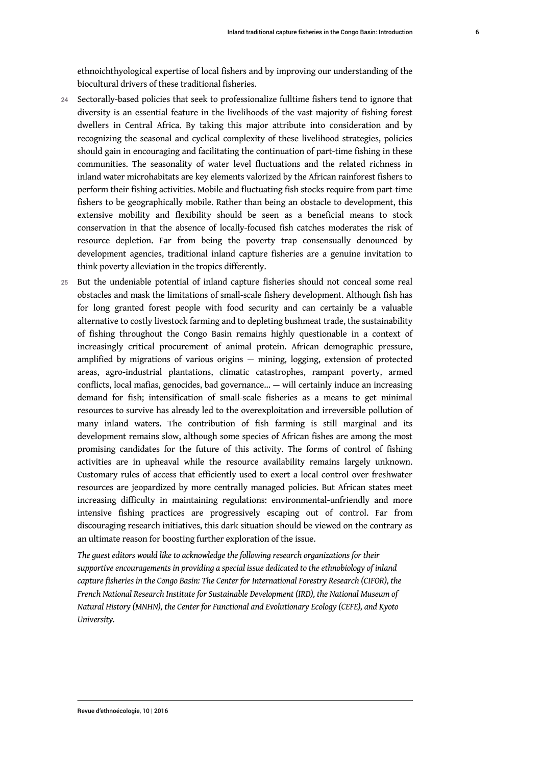ethnoichthyological expertise of local fishers and by improving our understanding of the biocultural drivers of these traditional fisheries.

- 24 Sectorally-based policies that seek to professionalize fulltime fishers tend to ignore that diversity is an essential feature in the livelihoods of the vast majority of fishing forest dwellers in Central Africa. By taking this major attribute into consideration and by recognizing the seasonal and cyclical complexity of these livelihood strategies, policies should gain in encouraging and facilitating the continuation of part-time fishing in these communities. The seasonality of water level fluctuations and the related richness in inland water microhabitats are key elements valorized by the African rainforest fishers to perform their fishing activities. Mobile and fluctuating fish stocks require from part-time fishers to be geographically mobile. Rather than being an obstacle to development, this extensive mobility and flexibility should be seen as a beneficial means to stock conservation in that the absence of locally-focused fish catches moderates the risk of resource depletion. Far from being the poverty trap consensually denounced by development agencies, traditional inland capture fisheries are a genuine invitation to think poverty alleviation in the tropics differently.
- 25 But the undeniable potential of inland capture fisheries should not conceal some real obstacles and mask the limitations of small-scale fishery development. Although fish has for long granted forest people with food security and can certainly be a valuable alternative to costly livestock farming and to depleting bushmeat trade, the sustainability of fishing throughout the Congo Basin remains highly questionable in a context of increasingly critical procurement of animal protein. African demographic pressure, amplified by migrations of various origins — mining, logging, extension of protected areas, agro-industrial plantations, climatic catastrophes, rampant poverty, armed conflicts, local mafias, genocides, bad governance… — will certainly induce an increasing demand for fish; intensification of small-scale fisheries as a means to get minimal resources to survive has already led to the overexploitation and irreversible pollution of many inland waters. The contribution of fish farming is still marginal and its development remains slow, although some species of African fishes are among the most promising candidates for the future of this activity. The forms of control of fishing activities are in upheaval while the resource availability remains largely unknown. Customary rules of access that efficiently used to exert a local control over freshwater resources are jeopardized by more centrally managed policies. But African states meet increasing difficulty in maintaining regulations: environmental-unfriendly and more intensive fishing practices are progressively escaping out of control. Far from discouraging research initiatives, this dark situation should be viewed on the contrary as an ultimate reason for boosting further exploration of the issue.

*The guest editors would like to acknowledge the following research organizations for their supportive encouragements in providing a special issue dedicated to the ethnobiology of inland capture fisheries in the Congo Basin: The Center for International Forestry Research (CIFOR), the French National Research Institute for Sustainable Development (IRD), the National Museum of Natural History (MNHN), the Center for Functional and Evolutionary Ecology (CEFE), and Kyoto University.*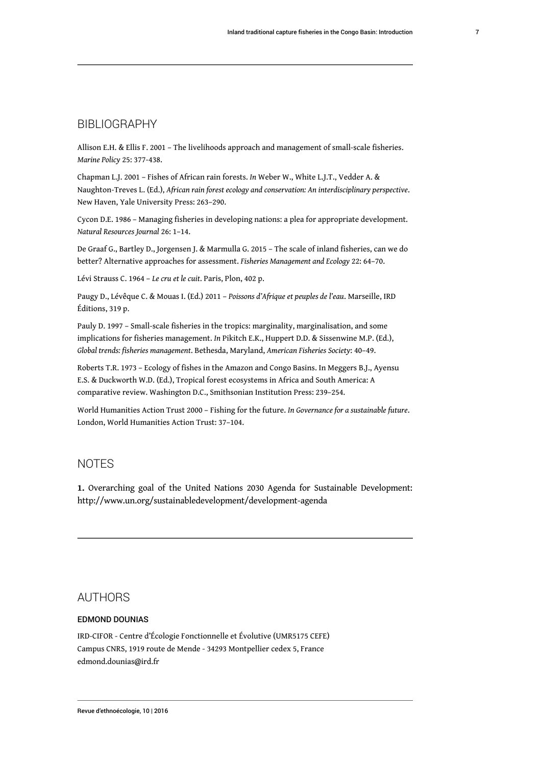# BIBLIOGRAPHY

Allison E.H. & Ellis F. 2001 – The livelihoods approach and management of small-scale fisheries. *Marine Policy* 25: 377-438.

Chapman L.J. 2001 – Fishes of African rain forests. *In* Weber W., White L.J.T., Vedder A. & Naughton-Treves L. (Ed.), *African rain forest ecology and conservation: An interdisciplinary perspective*. New Haven, Yale University Press: 263–290.

Cycon D.E. 1986 – Managing fisheries in developing nations: a plea for appropriate development. *Natural Resources Journal* 26: 1–14.

De Graaf G., Bartley D., Jorgensen J. & Marmulla G. 2015 – The scale of inland fisheries, can we do better? Alternative approaches for assessment. *Fisheries Management and Ecology* 22: 64–70.

Lévi Strauss C. 1964 – *Le cru et le cuit*. Paris, Plon, 402 p.

Paugy D., Lévêque C. & Mouas I. (Ed.) 2011 – *Poissons d'Afrique et peuples de l'eau*. Marseille, IRD Éditions, 319 p.

Pauly D. 1997 – Small-scale fisheries in the tropics: marginality, marginalisation, and some implications for fisheries management. *In* Pikitch E.K., Huppert D.D. & Sissenwine M.P. (Ed.), *Global trends: fisheries management*. Bethesda, Maryland, *American Fisheries Society*: 40–49.

Roberts T.R. 1973 – Ecology of fishes in the Amazon and Congo Basins. In Meggers B.J., Ayensu E.S. & Duckworth W.D. (Ed.), Tropical forest ecosystems in Africa and South America: A comparative review. Washington D.C., Smithsonian Institution Press: 239–254.

World Humanities Action Trust 2000 – Fishing for the future. *In Governance for a sustainable future*. London, World Humanities Action Trust: 37–104.

# NOTES

<span id="page-7-0"></span>**[1.](#page-1-0)** Overarching goal of the United Nations 2030 Agenda for Sustainable Development: http://www.un.org/sustainabledevelopment/development-agenda

# AUTHORS

### EDMOND DOUNIAS

IRD-CIFOR - Centre d'Écologie Fonctionnelle et Évolutive (UMR5175 CEFE) Campus CNRS, 1919 route de Mende - 34293 Montpellier cedex 5, France edmond.dounias@ird.fr